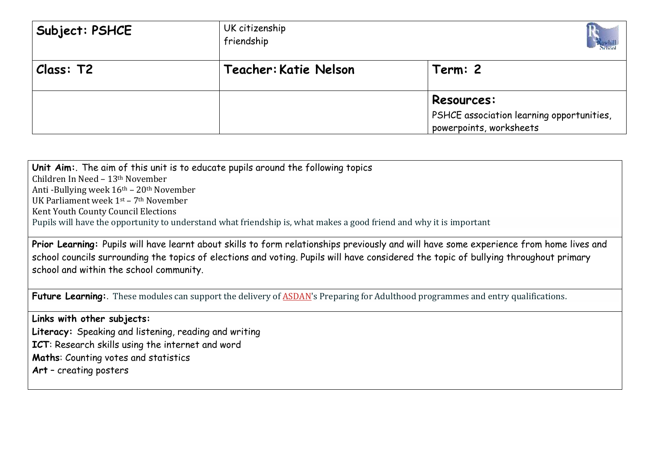| Subject: PSHCE | UK citizenship<br>friendship |                                           |
|----------------|------------------------------|-------------------------------------------|
| Class: T2      | Teacher: Katie Nelson        | Term: 2                                   |
|                |                              | <b>Resources:</b>                         |
|                |                              | PSHCE association learning opportunities, |
|                |                              | powerpoints, worksheets                   |

**Unit Aim:**. The aim of this unit is to educate pupils around the following topics Children In Need – 13th November Anti -Bullying week 16th – 20th November UK Parliament week 1st – 7th November Kent Youth County Council Elections Pupils will have the opportunity to understand what friendship is, what makes a good friend and why it is important **Prior Learning:** Pupils will have learnt about skills to form relationships previously and will have some experience from home lives and school councils surrounding the topics of elections and voting. Pupils will have considered the topic of bullying throughout primary school and within the school community. **Future Learning:**. These modules can support the delivery of **[ASDAN'](http://www.asdan.org.uk/about)s Preparing for Adulthood programmes and entry qualifications. Links with other subjects: Literacy:** Speaking and listening, reading and writing **ICT**: Research skills using the internet and word **Maths**: Counting votes and statistics **Art** – creating posters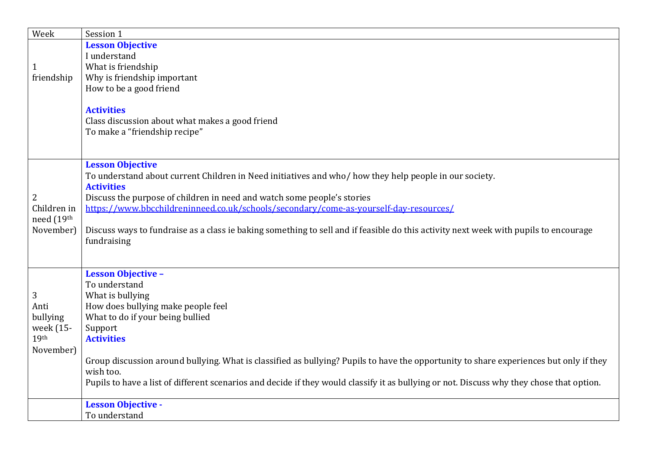| <b>Lesson Objective</b><br>I understand<br>What is friendship<br>1<br>Why is friendship important<br>friendship<br>How to be a good friend<br><b>Activities</b><br>Class discussion about what makes a good friend<br>To make a "friendship recipe"<br><b>Lesson Objective</b><br>To understand about current Children in Need initiatives and who/how they help people in our society.<br><b>Activities</b><br>Discuss the purpose of children in need and watch some people's stories<br>2<br>https://www.bbcchildreninneed.co.uk/schools/secondary/come-as-yourself-day-resources/<br>Children in<br>need (19th<br>November)<br>Discuss ways to fundraise as a class ie baking something to sell and if feasible do this activity next week with pupils to encourage<br>fundraising<br><b>Lesson Objective -</b><br>To understand<br>What is bullying<br>3<br>How does bullying make people feel<br>Anti<br>bullying<br>What to do if your being bullied | Week | Session 1 |
|-------------------------------------------------------------------------------------------------------------------------------------------------------------------------------------------------------------------------------------------------------------------------------------------------------------------------------------------------------------------------------------------------------------------------------------------------------------------------------------------------------------------------------------------------------------------------------------------------------------------------------------------------------------------------------------------------------------------------------------------------------------------------------------------------------------------------------------------------------------------------------------------------------------------------------------------------------------|------|-----------|
|                                                                                                                                                                                                                                                                                                                                                                                                                                                                                                                                                                                                                                                                                                                                                                                                                                                                                                                                                             |      |           |
|                                                                                                                                                                                                                                                                                                                                                                                                                                                                                                                                                                                                                                                                                                                                                                                                                                                                                                                                                             |      |           |
|                                                                                                                                                                                                                                                                                                                                                                                                                                                                                                                                                                                                                                                                                                                                                                                                                                                                                                                                                             |      |           |
|                                                                                                                                                                                                                                                                                                                                                                                                                                                                                                                                                                                                                                                                                                                                                                                                                                                                                                                                                             |      |           |
|                                                                                                                                                                                                                                                                                                                                                                                                                                                                                                                                                                                                                                                                                                                                                                                                                                                                                                                                                             |      |           |
|                                                                                                                                                                                                                                                                                                                                                                                                                                                                                                                                                                                                                                                                                                                                                                                                                                                                                                                                                             |      |           |
|                                                                                                                                                                                                                                                                                                                                                                                                                                                                                                                                                                                                                                                                                                                                                                                                                                                                                                                                                             |      |           |
|                                                                                                                                                                                                                                                                                                                                                                                                                                                                                                                                                                                                                                                                                                                                                                                                                                                                                                                                                             |      |           |
|                                                                                                                                                                                                                                                                                                                                                                                                                                                                                                                                                                                                                                                                                                                                                                                                                                                                                                                                                             |      |           |
|                                                                                                                                                                                                                                                                                                                                                                                                                                                                                                                                                                                                                                                                                                                                                                                                                                                                                                                                                             |      |           |
|                                                                                                                                                                                                                                                                                                                                                                                                                                                                                                                                                                                                                                                                                                                                                                                                                                                                                                                                                             |      |           |
|                                                                                                                                                                                                                                                                                                                                                                                                                                                                                                                                                                                                                                                                                                                                                                                                                                                                                                                                                             |      |           |
|                                                                                                                                                                                                                                                                                                                                                                                                                                                                                                                                                                                                                                                                                                                                                                                                                                                                                                                                                             |      |           |
|                                                                                                                                                                                                                                                                                                                                                                                                                                                                                                                                                                                                                                                                                                                                                                                                                                                                                                                                                             |      |           |
|                                                                                                                                                                                                                                                                                                                                                                                                                                                                                                                                                                                                                                                                                                                                                                                                                                                                                                                                                             |      |           |
|                                                                                                                                                                                                                                                                                                                                                                                                                                                                                                                                                                                                                                                                                                                                                                                                                                                                                                                                                             |      |           |
|                                                                                                                                                                                                                                                                                                                                                                                                                                                                                                                                                                                                                                                                                                                                                                                                                                                                                                                                                             |      |           |
|                                                                                                                                                                                                                                                                                                                                                                                                                                                                                                                                                                                                                                                                                                                                                                                                                                                                                                                                                             |      |           |
|                                                                                                                                                                                                                                                                                                                                                                                                                                                                                                                                                                                                                                                                                                                                                                                                                                                                                                                                                             |      |           |
|                                                                                                                                                                                                                                                                                                                                                                                                                                                                                                                                                                                                                                                                                                                                                                                                                                                                                                                                                             |      |           |
|                                                                                                                                                                                                                                                                                                                                                                                                                                                                                                                                                                                                                                                                                                                                                                                                                                                                                                                                                             |      |           |
|                                                                                                                                                                                                                                                                                                                                                                                                                                                                                                                                                                                                                                                                                                                                                                                                                                                                                                                                                             |      |           |
|                                                                                                                                                                                                                                                                                                                                                                                                                                                                                                                                                                                                                                                                                                                                                                                                                                                                                                                                                             |      |           |
|                                                                                                                                                                                                                                                                                                                                                                                                                                                                                                                                                                                                                                                                                                                                                                                                                                                                                                                                                             |      |           |
|                                                                                                                                                                                                                                                                                                                                                                                                                                                                                                                                                                                                                                                                                                                                                                                                                                                                                                                                                             |      |           |
|                                                                                                                                                                                                                                                                                                                                                                                                                                                                                                                                                                                                                                                                                                                                                                                                                                                                                                                                                             |      |           |
| week (15-<br>Support                                                                                                                                                                                                                                                                                                                                                                                                                                                                                                                                                                                                                                                                                                                                                                                                                                                                                                                                        |      |           |
| 19th<br><b>Activities</b>                                                                                                                                                                                                                                                                                                                                                                                                                                                                                                                                                                                                                                                                                                                                                                                                                                                                                                                                   |      |           |
| November)                                                                                                                                                                                                                                                                                                                                                                                                                                                                                                                                                                                                                                                                                                                                                                                                                                                                                                                                                   |      |           |
| Group discussion around bullying. What is classified as bullying? Pupils to have the opportunity to share experiences but only if they                                                                                                                                                                                                                                                                                                                                                                                                                                                                                                                                                                                                                                                                                                                                                                                                                      |      |           |
| wish too.                                                                                                                                                                                                                                                                                                                                                                                                                                                                                                                                                                                                                                                                                                                                                                                                                                                                                                                                                   |      |           |
| Pupils to have a list of different scenarios and decide if they would classify it as bullying or not. Discuss why they chose that option.                                                                                                                                                                                                                                                                                                                                                                                                                                                                                                                                                                                                                                                                                                                                                                                                                   |      |           |
| <b>Lesson Objective -</b>                                                                                                                                                                                                                                                                                                                                                                                                                                                                                                                                                                                                                                                                                                                                                                                                                                                                                                                                   |      |           |
| To understand                                                                                                                                                                                                                                                                                                                                                                                                                                                                                                                                                                                                                                                                                                                                                                                                                                                                                                                                               |      |           |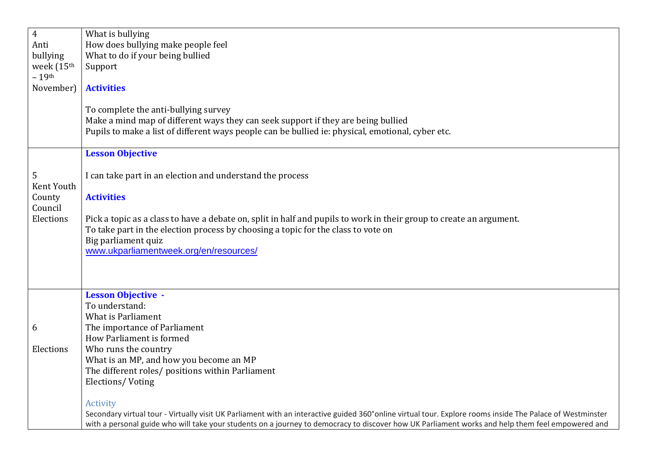| Secondary virtual tour - Virtually visit UK Parliament with an interactive guided 360° online virtual tour. Explore rooms inside The Palace of Westminster |
|------------------------------------------------------------------------------------------------------------------------------------------------------------|
| with a personal guide who will take your students on a journey to democracy to discover how UK Parliament works and help them feel empowered and           |
|                                                                                                                                                            |